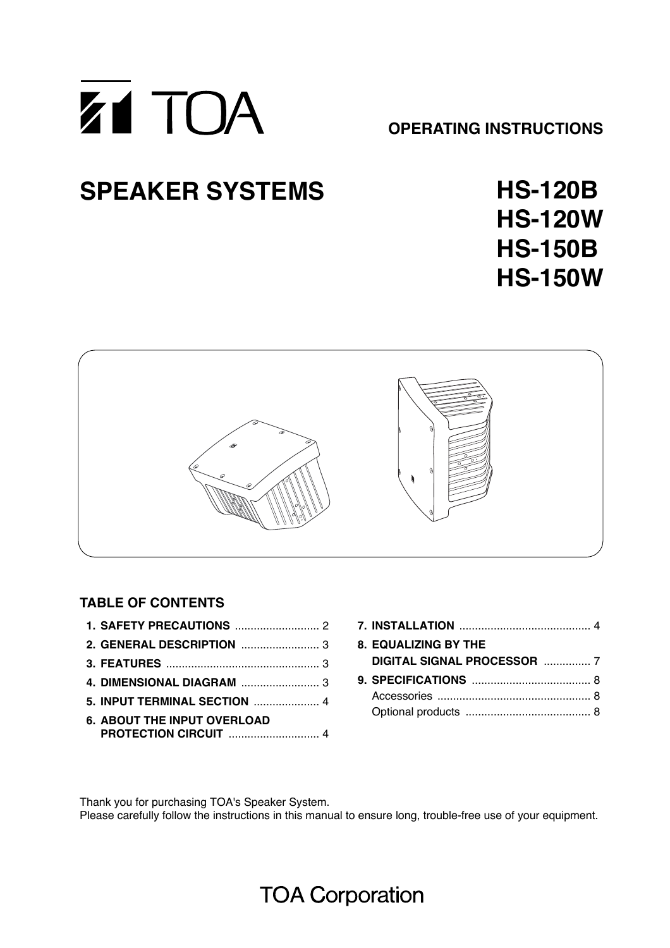

# **SPEAKER SYSTEMS**

**HS-120B HS-120W HS-150B HS-150W**



## **TABLE OF CONTENTS**

| <b>5. INPUT TERMINAL SECTION  4</b> |  |
|-------------------------------------|--|
| <b>6. ABOUT THE INPUT OVERLOAD</b>  |  |
|                                     |  |

| <b>8. EQUALIZING BY THE</b> |  |
|-----------------------------|--|
| DIGITAL SIGNAL PROCESSOR  7 |  |
|                             |  |
|                             |  |
|                             |  |

Thank you for purchasing TOA's Speaker System. Please carefully follow the instructions in this manual to ensure long, trouble-free use of your equipment.

## **TOA Corporation**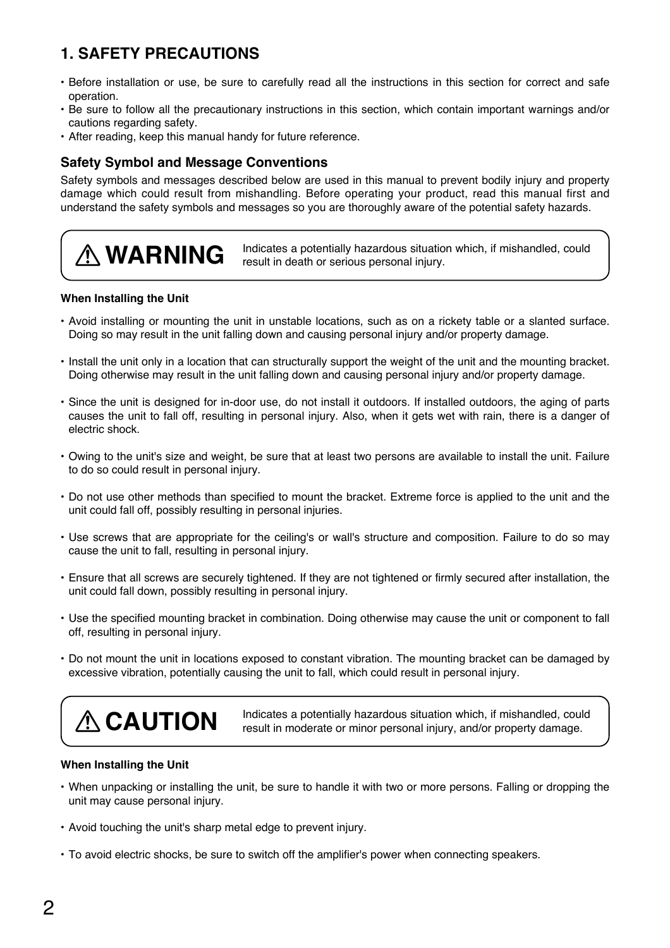## **1. SAFETY PRECAUTIONS**

- Before installation or use, be sure to carefully read all the instructions in this section for correct and safe operation.
- Be sure to follow all the precautionary instructions in this section, which contain important warnings and/or cautions regarding safety.
- After reading, keep this manual handy for future reference.

### **Safety Symbol and Message Conventions**

Safety symbols and messages described below are used in this manual to prevent bodily injury and property damage which could result from mishandling. Before operating your product, read this manual first and understand the safety symbols and messages so you are thoroughly aware of the potential safety hazards.

**WARNING** Indicates a potentially hazardous situation which, if mishandled, could result in death or serious personal injury.

#### **When Installing the Unit**

- Avoid installing or mounting the unit in unstable locations, such as on a rickety table or a slanted surface. Doing so may result in the unit falling down and causing personal injury and/or property damage.
- Install the unit only in a location that can structurally support the weight of the unit and the mounting bracket. Doing otherwise may result in the unit falling down and causing personal injury and/or property damage.
- Since the unit is designed for in-door use, do not install it outdoors. If installed outdoors, the aging of parts causes the unit to fall off, resulting in personal injury. Also, when it gets wet with rain, there is a danger of electric shock.
- Owing to the unit's size and weight, be sure that at least two persons are available to install the unit. Failure to do so could result in personal injury.
- Do not use other methods than specified to mount the bracket. Extreme force is applied to the unit and the unit could fall off, possibly resulting in personal injuries.
- Use screws that are appropriate for the ceiling's or wall's structure and composition. Failure to do so may cause the unit to fall, resulting in personal injury.
- Ensure that all screws are securely tightened. If they are not tightened or firmly secured after installation, the unit could fall down, possibly resulting in personal injury.
- Use the specified mounting bracket in combination. Doing otherwise may cause the unit or component to fall off, resulting in personal injury.
- Do not mount the unit in locations exposed to constant vibration. The mounting bracket can be damaged by excessive vibration, potentially causing the unit to fall, which could result in personal injury.



**CAUTION** Indicates a potentially hazardous situation which, if mishandled, could result in moderate or minor personal injury, and/or property damage.

#### **When Installing the Unit**

- When unpacking or installing the unit, be sure to handle it with two or more persons. Falling or dropping the unit may cause personal injury.
- Avoid touching the unit's sharp metal edge to prevent injury.
- To avoid electric shocks, be sure to switch off the amplifier's power when connecting speakers.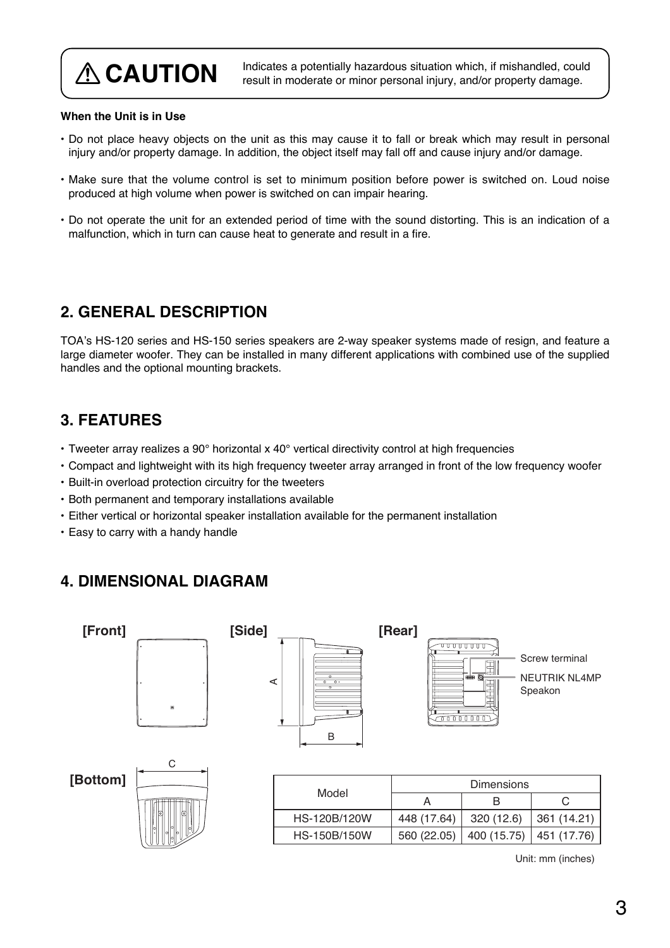**CAUTION** Indicates a potentially hazardous situation which, if mishandled, could result in moderate or minor personal injury, and/or property damage.

#### **When the Unit is in Use**

- Do not place heavy objects on the unit as this may cause it to fall or break which may result in personal injury and/or property damage. In addition, the object itself may fall off and cause injury and/or damage.
- Make sure that the volume control is set to minimum position before power is switched on. Loud noise produced at high volume when power is switched on can impair hearing.
- Do not operate the unit for an extended period of time with the sound distorting. This is an indication of a malfunction, which in turn can cause heat to generate and result in a fire.

## **2. GENERAL DESCRIPTION**

TOA's HS-120 series and HS-150 series speakers are 2-way speaker systems made of resign, and feature a large diameter woofer. They can be installed in many different applications with combined use of the supplied handles and the optional mounting brackets.

## **3. FEATURES**

- Tweeter array realizes a 90° horizontal x 40° vertical directivity control at high frequencies
- Compact and lightweight with its high frequency tweeter array arranged in front of the low frequency woofer
- Built-in overload protection circuitry for the tweeters
- Both permanent and temporary installations available
- Either vertical or horizontal speaker installation available for the permanent installation
- Easy to carry with a handy handle

## **4. DIMENSIONAL DIAGRAM**



Unit: mm (inches)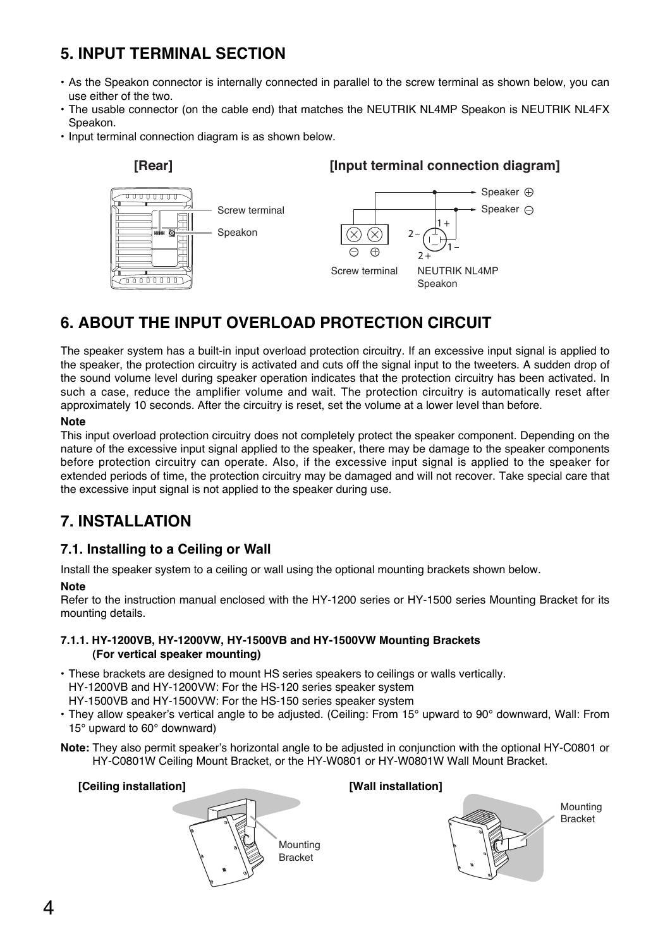## **5. INPUT TERMINAL SECTION**

- As the Speakon connector is internally connected in parallel to the screw terminal as shown below, you can use either of the two.
- The usable connector (on the cable end) that matches the NEUTRIK NL4MP Speakon is NEUTRIK NL4FX Speakon.
- Input terminal connection diagram is as shown below.

![](_page_3_Figure_4.jpeg)

## **6. ABOUT THE INPUT OVERLOAD PROTECTION CIRCUIT**

The speaker system has a built-in input overload protection circuitry. If an excessive input signal is applied to the speaker, the protection circuitry is activated and cuts off the signal input to the tweeters. A sudden drop of the sound volume level during speaker operation indicates that the protection circuitry has been activated. In such a case, reduce the amplifier volume and wait. The protection circuitry is automatically reset after approximately 10 seconds. After the circuitry is reset, set the volume at a lower level than before.

#### **Note**

This input overload protection circuitry does not completely protect the speaker component. Depending on the nature of the excessive input signal applied to the speaker, there may be damage to the speaker components before protection circuitry can operate. Also, if the excessive input signal is applied to the speaker for extended periods of time, the protection circuitry may be damaged and will not recover. Take special care that the excessive input signal is not applied to the speaker during use.

## **7. INSTALLATION**

### **7.1. Installing to a Ceiling or Wall**

Install the speaker system to a ceiling or wall using the optional mounting brackets shown below.

#### **Note**

Refer to the instruction manual enclosed with the HY-1200 series or HY-1500 series Mounting Bracket for its mounting details.

#### **7.1.1. HY-1200VB, HY-1200VW, HY-1500VB and HY-1500VW Mounting Brackets (For vertical speaker mounting)**

- These brackets are designed to mount HS series speakers to ceilings or walls vertically. HY-1200VB and HY-1200VW: For the HS-120 series speaker system
	- HY-1500VB and HY-1500VW: For the HS-150 series speaker system
- They allow speaker's vertical angle to be adjusted. (Ceiling: From 15° upward to 90° downward, Wall: From 15° upward to 60° downward)
- **Note:** They also permit speaker's horizontal angle to be adjusted in conjunction with the optional HY-C0801 or HY-C0801W Ceiling Mount Bracket, or the HY-W0801 or HY-W0801W Wall Mount Bracket.

![](_page_3_Picture_19.jpeg)

![](_page_3_Picture_20.jpeg)

![](_page_3_Picture_22.jpeg)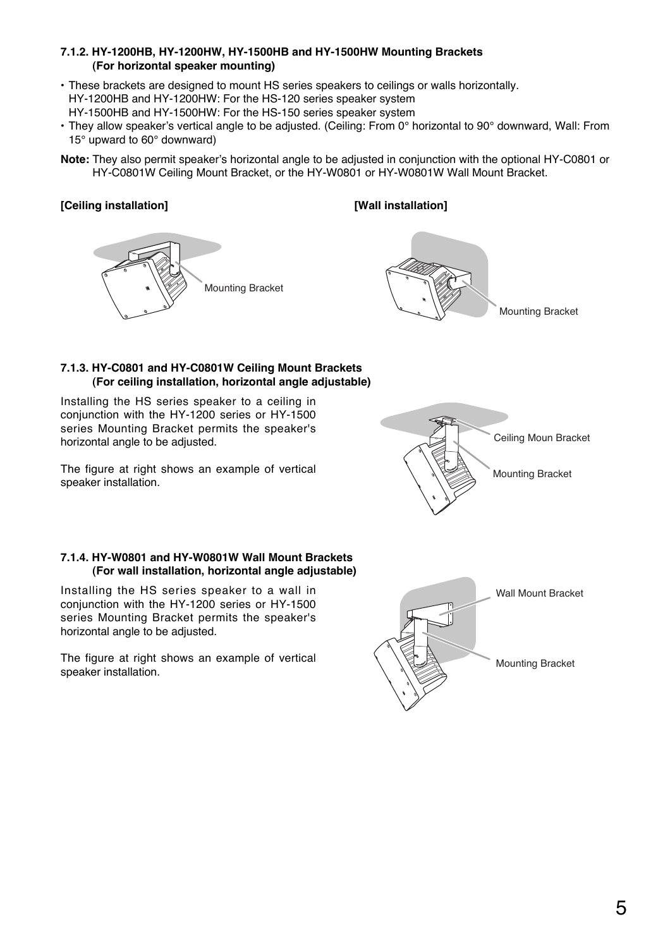#### **7.1.2. HY-1200HB, HY-1200HW, HY-1500HB and HY-1500HW Mounting Brackets (For horizontal speaker mounting)**

- These brackets are designed to mount HS series speakers to ceilings or walls horizontally. HY-1200HB and HY-1200HW: For the HS-120 series speaker system HY-1500HB and HY-1500HW: For the HS-150 series speaker system
- They allow speaker's vertical angle to be adjusted. (Ceiling: From 0° horizontal to 90° downward, Wall: From 15° upward to 60° downward)
- **Note:** They also permit speaker's horizontal angle to be adjusted in conjunction with the optional HY-C0801 or HY-C0801W Ceiling Mount Bracket, or the HY-W0801 or HY-W0801W Wall Mount Bracket.

#### **[Ceiling installation] [Wall installation]**

![](_page_4_Picture_6.jpeg)

![](_page_4_Picture_7.jpeg)

#### **7.1.3. HY-C0801 and HY-C0801W Ceiling Mount Brackets (For ceiling installation, horizontal angle adjustable)**

Installing the HS series speaker to a ceiling in conjunction with the HY-1200 series or HY-1500 series Mounting Bracket permits the speaker's horizontal angle to be adjusted.

The figure at right shows an example of vertical<br>speaker installation. Mounting Bracket

![](_page_4_Picture_11.jpeg)

#### **7.1.4. HY-W0801 and HY-W0801W Wall Mount Brackets (For wall installation, horizontal angle adjustable)**

Installing the HS series speaker to a wall in conjunction with the HY-1200 series or HY-1500 series Mounting Bracket permits the speaker's horizontal angle to be adjusted.

The figure at right shows an example of vertical The figure at right shows an example of vertical<br>speaker installation.

![](_page_4_Picture_15.jpeg)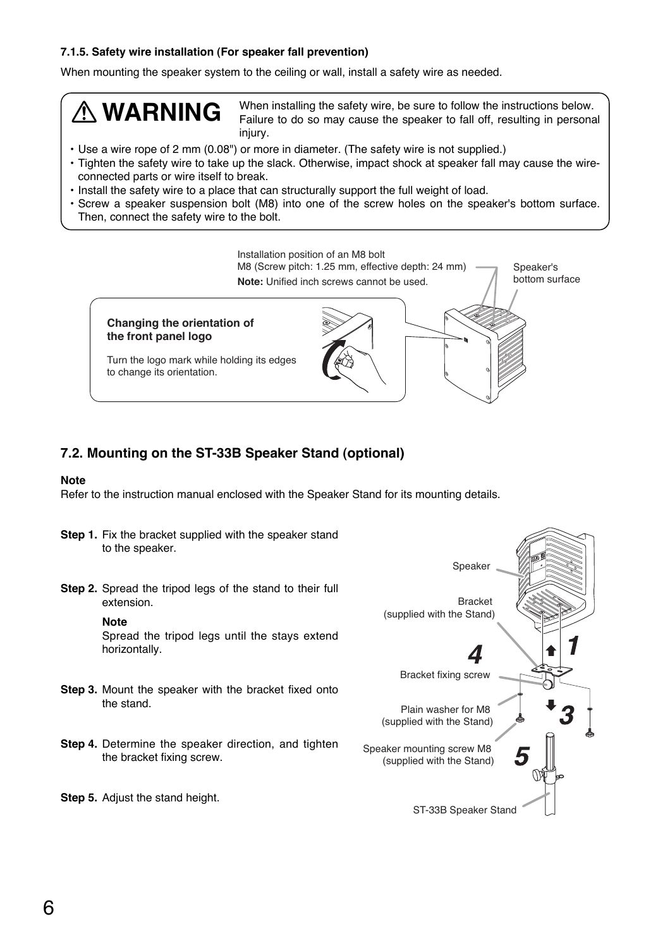#### **7.1.5. Safety wire installation (For speaker fall prevention)**

When mounting the speaker system to the ceiling or wall, install a safety wire as needed.

# **WARNING**

When installing the safety wire, be sure to follow the instructions below. Failure to do so may cause the speaker to fall off, resulting in personal injury.

- Use a wire rope of 2 mm (0.08") or more in diameter. (The safety wire is not supplied.)
- Tighten the safety wire to take up the slack. Otherwise, impact shock at speaker fall may cause the wireconnected parts or wire itself to break.
- Install the safety wire to a place that can structurally support the full weight of load.
- Screw a speaker suspension bolt (M8) into one of the screw holes on the speaker's bottom surface. Then, connect the safety wire to the bolt.

![](_page_5_Figure_8.jpeg)

### **7.2. Mounting on the ST-33B Speaker Stand (optional)**

#### **Note**

Refer to the instruction manual enclosed with the Speaker Stand for its mounting details.

- **Step 1.** Fix the bracket supplied with the speaker stand to the speaker.
- **Step 2.** Spread the tripod legs of the stand to their full extension.

#### **Note**

Spread the tripod legs until the stays extend horizontally.

- **Step 3.** Mount the speaker with the bracket fixed onto the stand.
- **Step 4.** Determine the speaker direction, and tighten the bracket fixing screw.
- **Step 5.** Adjust the stand height.

![](_page_5_Figure_19.jpeg)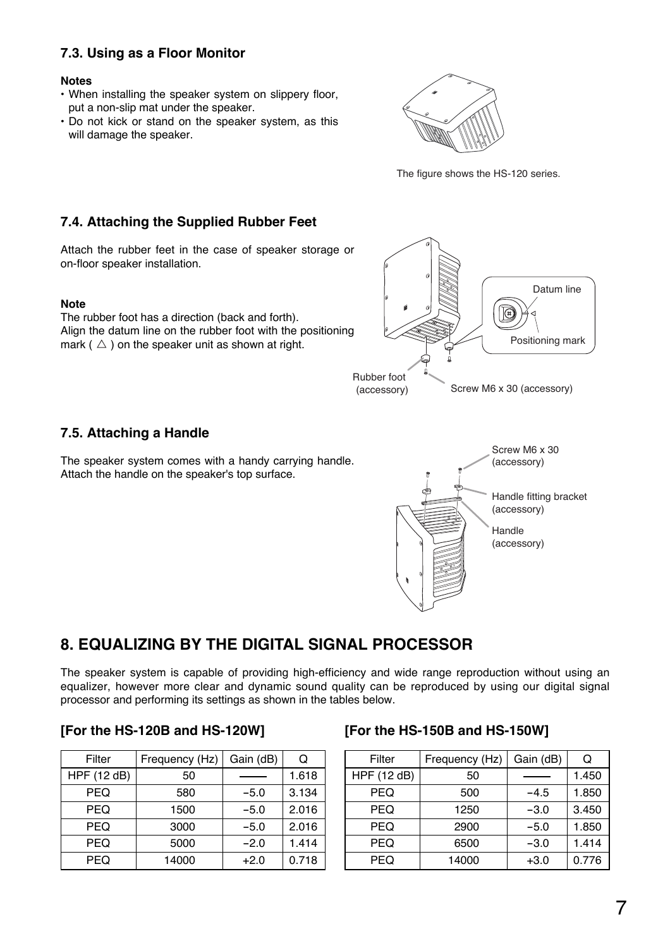## **7.3. Using as a Floor Monitor**

#### **Notes**

- When installing the speaker system on slippery floor, put a non-slip mat under the speaker.
- Do not kick or stand on the speaker system, as this will damage the speaker.

![](_page_6_Figure_4.jpeg)

The figure shows the HS-120 series.

### **7.4. Attaching the Supplied Rubber Feet**

Attach the rubber feet in the case of speaker storage or on-floor speaker installation.

#### **Note**

The rubber foot has a direction (back and forth). Align the datum line on the rubber foot with the positioning mark ( $\triangle$ ) on the speaker unit as shown at right.

![](_page_6_Figure_10.jpeg)

Screw M6 x 30 (accessory)

(accessory)

Handle (accessory)

Handle fitting bracket

### **7.5. Attaching a Handle**

The speaker system comes with a handy carrying handle. Attach the handle on the speaker's top surface.

## **8. EQUALIZING BY THE DIGITAL SIGNAL PROCESSOR**

The speaker system is capable of providing high-efficiency and wide range reproduction without using an equalizer, however more clear and dynamic sound quality can be reproduced by using our digital signal processor and performing its settings as shown in the tables below.

### **[For the HS-120B and HS-120W] [For the HS-150B and HS-150W]**

| Filter      | Frequency (Hz) | Gain (dB) | Q     |
|-------------|----------------|-----------|-------|
| HPF (12 dB) | 50             |           | 1.618 |
| <b>PEQ</b>  | 580            | $-5.0$    | 3.134 |
| <b>PEQ</b>  | 1500           | $-5.0$    | 2.016 |
| <b>PEQ</b>  | 3000           | $-5.0$    | 2.016 |
| <b>PEQ</b>  | 5000           | $-2.0$    | 1.414 |
| <b>PEQ</b>  | 14000          | $+2.0$    | 0.718 |

| Filter      | Frequency (Hz) | Gain (dB) | Q     |
|-------------|----------------|-----------|-------|
| HPF (12 dB) | 50             |           | 1.450 |
| PEQ         | 500            | $-4.5$    | 1.850 |
| <b>PEQ</b>  | 1250           | $-3.0$    | 3.450 |
| <b>PEQ</b>  | 2900           | $-5.0$    | 1.850 |
| <b>PEQ</b>  | 6500           | $-3.0$    | 1.414 |
| <b>PEQ</b>  | 14000          | $+3.0$    | 0.776 |